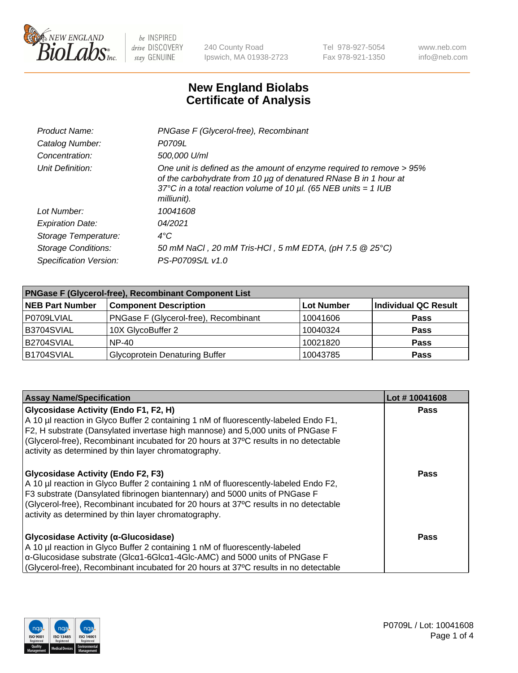

240 County Road Ipswich, MA 01938-2723 Tel 978-927-5054 Fax 978-921-1350 www.neb.com info@neb.com

## **New England Biolabs Certificate of Analysis**

| Product Name:              | PNGase F (Glycerol-free), Recombinant                                                                                                                                                                                           |
|----------------------------|---------------------------------------------------------------------------------------------------------------------------------------------------------------------------------------------------------------------------------|
| Catalog Number:            | P0709L                                                                                                                                                                                                                          |
| Concentration:             | 500,000 U/ml                                                                                                                                                                                                                    |
| Unit Definition:           | One unit is defined as the amount of enzyme required to remove > 95%<br>of the carbohydrate from 10 µg of denatured RNase B in 1 hour at<br>37°C in a total reaction volume of 10 $\mu$ l. (65 NEB units = 1 IUB<br>milliunit). |
| Lot Number:                | 10041608                                                                                                                                                                                                                        |
| <b>Expiration Date:</b>    | 04/2021                                                                                                                                                                                                                         |
| Storage Temperature:       | $4^{\circ}$ C                                                                                                                                                                                                                   |
| <b>Storage Conditions:</b> | 50 mM NaCl, 20 mM Tris-HCl, 5 mM EDTA, (pH 7.5 @ 25°C)                                                                                                                                                                          |
| Specification Version:     | PS-P0709S/L v1.0                                                                                                                                                                                                                |

| <b>PNGase F (Glycerol-free), Recombinant Component List</b> |                                       |                   |                      |  |
|-------------------------------------------------------------|---------------------------------------|-------------------|----------------------|--|
| <b>NEB Part Number</b>                                      | <b>Component Description</b>          | <b>Lot Number</b> | Individual QC Result |  |
| P0709LVIAL                                                  | PNGase F (Glycerol-free), Recombinant | 10041606          | <b>Pass</b>          |  |
| B3704SVIAL                                                  | 10X GlycoBuffer 2                     | 10040324          | <b>Pass</b>          |  |
| B2704SVIAL                                                  | <b>NP-40</b>                          | 10021820          | <b>Pass</b>          |  |
| B1704SVIAL                                                  | <b>Glycoprotein Denaturing Buffer</b> | 10043785          | <b>Pass</b>          |  |

| <b>Assay Name/Specification</b>                                                                                                                                                                                                                                                                                                                                  | Lot #10041608 |
|------------------------------------------------------------------------------------------------------------------------------------------------------------------------------------------------------------------------------------------------------------------------------------------------------------------------------------------------------------------|---------------|
| Glycosidase Activity (Endo F1, F2, H)<br>A 10 µl reaction in Glyco Buffer 2 containing 1 nM of fluorescently-labeled Endo F1,<br>F2, H substrate (Dansylated invertase high mannose) and 5,000 units of PNGase F<br>(Glycerol-free), Recombinant incubated for 20 hours at 37°C results in no detectable<br>activity as determined by thin layer chromatography. | <b>Pass</b>   |
| <b>Glycosidase Activity (Endo F2, F3)</b><br>A 10 µl reaction in Glyco Buffer 2 containing 1 nM of fluorescently-labeled Endo F2,<br>F3 substrate (Dansylated fibrinogen biantennary) and 5000 units of PNGase F<br>(Glycerol-free), Recombinant incubated for 20 hours at 37°C results in no detectable<br>activity as determined by thin layer chromatography. | Pass          |
| Glycosidase Activity (α-Glucosidase)<br>A 10 µl reaction in Glyco Buffer 2 containing 1 nM of fluorescently-labeled<br>$\alpha$ -Glucosidase substrate (Glc $\alpha$ 1-6Glc $\alpha$ 1-4Glc-AMC) and 5000 units of PNGase F<br>(Glycerol-free), Recombinant incubated for 20 hours at 37°C results in no detectable                                              | Pass          |

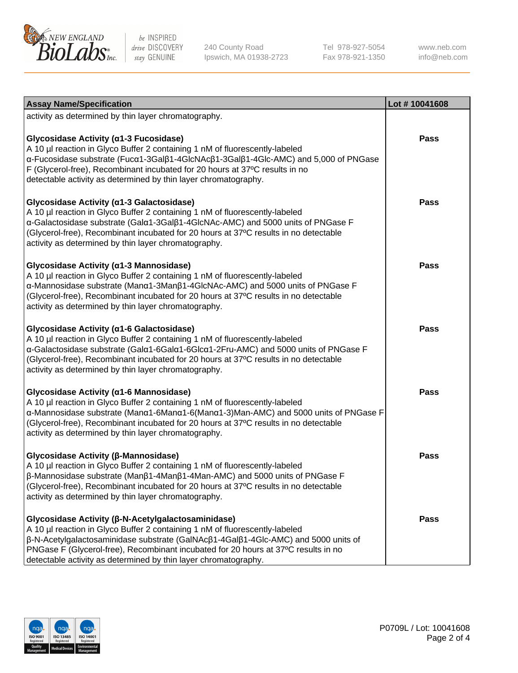

240 County Road Ipswich, MA 01938-2723 Tel 978-927-5054 Fax 978-921-1350

www.neb.com info@neb.com

| <b>Assay Name/Specification</b>                                                                                                                                                                                                                                                                                                                                                                         | Lot #10041608 |
|---------------------------------------------------------------------------------------------------------------------------------------------------------------------------------------------------------------------------------------------------------------------------------------------------------------------------------------------------------------------------------------------------------|---------------|
| activity as determined by thin layer chromatography.                                                                                                                                                                                                                                                                                                                                                    |               |
| Glycosidase Activity (α1-3 Fucosidase)<br>A 10 µl reaction in Glyco Buffer 2 containing 1 nM of fluorescently-labeled<br>α-Fucosidase substrate (Fucα1-3Galβ1-4GlcNAcβ1-3Galβ1-4Glc-AMC) and 5,000 of PNGase<br>F (Glycerol-free), Recombinant incubated for 20 hours at 37°C results in no<br>detectable activity as determined by thin layer chromatography.                                          | <b>Pass</b>   |
| Glycosidase Activity (a1-3 Galactosidase)<br>A 10 µl reaction in Glyco Buffer 2 containing 1 nM of fluorescently-labeled<br>α-Galactosidase substrate (Galα1-3Galβ1-4GlcNAc-AMC) and 5000 units of PNGase F<br>(Glycerol-free), Recombinant incubated for 20 hours at 37°C results in no detectable<br>activity as determined by thin layer chromatography.                                             | <b>Pass</b>   |
| Glycosidase Activity (a1-3 Mannosidase)<br>A 10 µl reaction in Glyco Buffer 2 containing 1 nM of fluorescently-labeled<br>α-Mannosidase substrate (Μanα1-3Μanβ1-4GlcNAc-AMC) and 5000 units of PNGase F<br>(Glycerol-free), Recombinant incubated for 20 hours at 37°C results in no detectable<br>activity as determined by thin layer chromatography.                                                 | <b>Pass</b>   |
| Glycosidase Activity (a1-6 Galactosidase)<br>A 10 µl reaction in Glyco Buffer 2 containing 1 nM of fluorescently-labeled<br>α-Galactosidase substrate (Galα1-6Galα1-6Glcα1-2Fru-AMC) and 5000 units of PNGase F<br>(Glycerol-free), Recombinant incubated for 20 hours at 37°C results in no detectable<br>activity as determined by thin layer chromatography.                                         | <b>Pass</b>   |
| Glycosidase Activity (α1-6 Mannosidase)<br>A 10 µl reaction in Glyco Buffer 2 containing 1 nM of fluorescently-labeled<br>α-Mannosidase substrate (Μanα1-6Μanα1-6(Μanα1-3)Man-AMC) and 5000 units of PNGase F<br>(Glycerol-free), Recombinant incubated for 20 hours at 37°C results in no detectable<br>activity as determined by thin layer chromatography.                                           | <b>Pass</b>   |
| Glycosidase Activity (β-Mannosidase)<br>A 10 µl reaction in Glyco Buffer 2 containing 1 nM of fluorescently-labeled<br>β-Mannosidase substrate (Manβ1-4Manβ1-4Man-AMC) and 5000 units of PNGase F<br>(Glycerol-free), Recombinant incubated for 20 hours at 37°C results in no detectable<br>activity as determined by thin layer chromatography.                                                       | Pass          |
| Glycosidase Activity (β-N-Acetylgalactosaminidase)<br>A 10 µl reaction in Glyco Buffer 2 containing 1 nM of fluorescently-labeled<br>$\beta$ -N-Acetylgalactosaminidase substrate (GalNAc $\beta$ 1-4Gal $\beta$ 1-4Glc-AMC) and 5000 units of<br>PNGase F (Glycerol-free), Recombinant incubated for 20 hours at 37°C results in no<br>detectable activity as determined by thin layer chromatography. | Pass          |

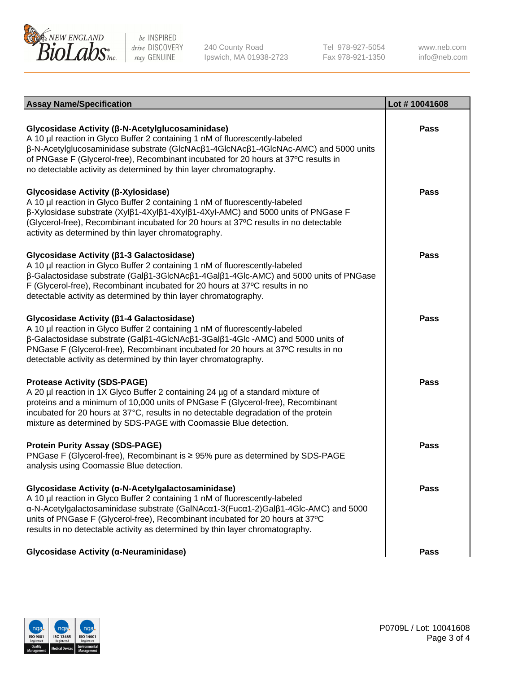

240 County Road Ipswich, MA 01938-2723 Tel 978-927-5054 Fax 978-921-1350 www.neb.com info@neb.com

| <b>Assay Name/Specification</b>                                                                                                                                                                                                                                                                                                                                                                    | Lot #10041608 |
|----------------------------------------------------------------------------------------------------------------------------------------------------------------------------------------------------------------------------------------------------------------------------------------------------------------------------------------------------------------------------------------------------|---------------|
| Glycosidase Activity (β-N-Acetylglucosaminidase)<br>A 10 µl reaction in Glyco Buffer 2 containing 1 nM of fluorescently-labeled<br>β-N-Acetylglucosaminidase substrate (GIcNAcβ1-4GIcNAcβ1-4GIcNAc-AMC) and 5000 units<br>of PNGase F (Glycerol-free), Recombinant incubated for 20 hours at 37°C results in<br>no detectable activity as determined by thin layer chromatography.                 | Pass          |
| Glycosidase Activity (β-Xylosidase)<br>A 10 µl reaction in Glyco Buffer 2 containing 1 nM of fluorescently-labeled<br>$\beta$ -Xylosidase substrate (Xyl $\beta$ 1-4Xyl $\beta$ 1-4Xyl $\beta$ 1-4Xyl-AMC) and 5000 units of PNGase F<br>(Glycerol-free), Recombinant incubated for 20 hours at 37°C results in no detectable<br>activity as determined by thin layer chromatography.              | <b>Pass</b>   |
| Glycosidase Activity (β1-3 Galactosidase)<br>A 10 µl reaction in Glyco Buffer 2 containing 1 nM of fluorescently-labeled<br>β-Galactosidase substrate (Galβ1-3GlcNAcβ1-4Galβ1-4Glc-AMC) and 5000 units of PNGase<br>F (Glycerol-free), Recombinant incubated for 20 hours at 37°C results in no<br>detectable activity as determined by thin layer chromatography.                                 | Pass          |
| Glycosidase Activity (β1-4 Galactosidase)<br>A 10 µl reaction in Glyco Buffer 2 containing 1 nM of fluorescently-labeled<br>$\beta$ -Galactosidase substrate (Gal $\beta$ 1-4GlcNAc $\beta$ 1-3Gal $\beta$ 1-4Glc -AMC) and 5000 units of<br>PNGase F (Glycerol-free), Recombinant incubated for 20 hours at 37°C results in no<br>detectable activity as determined by thin layer chromatography. | Pass          |
| <b>Protease Activity (SDS-PAGE)</b><br>A 20 µl reaction in 1X Glyco Buffer 2 containing 24 µg of a standard mixture of<br>proteins and a minimum of 10,000 units of PNGase F (Glycerol-free), Recombinant<br>incubated for 20 hours at 37°C, results in no detectable degradation of the protein<br>mixture as determined by SDS-PAGE with Coomassie Blue detection.                               | <b>Pass</b>   |
| <b>Protein Purity Assay (SDS-PAGE)</b><br>PNGase F (Glycerol-free), Recombinant is ≥ 95% pure as determined by SDS-PAGE<br>analysis using Coomassie Blue detection.                                                                                                                                                                                                                                | <b>Pass</b>   |
| Glycosidase Activity (α-N-Acetylgalactosaminidase)<br>A 10 µl reaction in Glyco Buffer 2 containing 1 nM of fluorescently-labeled<br>α-N-Acetylgalactosaminidase substrate (GalNAcα1-3(Fucα1-2)Galβ1-4Glc-AMC) and 5000<br>units of PNGase F (Glycerol-free), Recombinant incubated for 20 hours at 37°C<br>results in no detectable activity as determined by thin layer chromatography.          | <b>Pass</b>   |
| Glycosidase Activity (α-Neuraminidase)                                                                                                                                                                                                                                                                                                                                                             | <b>Pass</b>   |